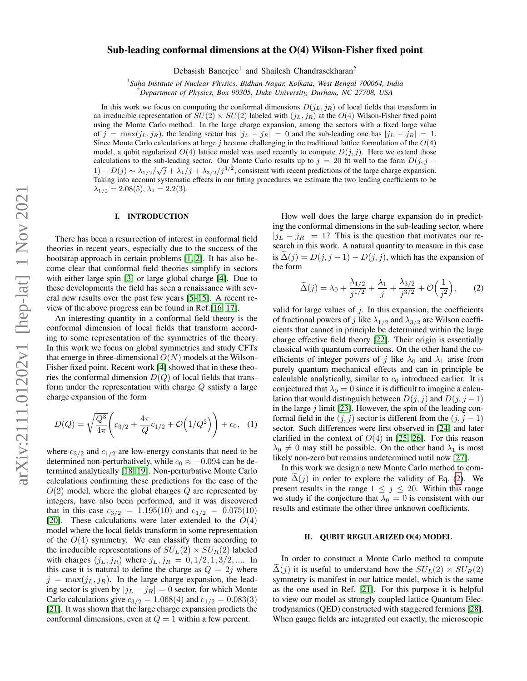# Sub-leading conformal dimensions at the O(4) Wilson-Fisher fixed point

Debasish Banerjee<sup>1</sup> and Shailesh Chandrasekharan<sup>2</sup>

1 *Saha Institute of Nuclear Physics, Bidhan Nagar, Kolkata, West Bengal 700064, India*

<sup>2</sup>*Department of Physics, Box 90305, Duke University, Durham, NC 27708, USA*

In this work we focus on computing the conformal dimensions  $D(j_L, j_R)$  of local fields that transform in an irreducible representation of  $SU(2) \times SU(2)$  labeled with  $(j_L, j_R)$  at the  $O(4)$  Wilson-Fisher fixed point using the Monte Carlo method. In the large charge expansion, among the sectors with a fixed large value of  $j = \max(j_L, j_R)$ , the leading sector has  $|j_L - j_R| = 0$  and the sub-leading one has  $|j_L - j_R| = 1$ . Since Monte Carlo calculations at large j become challenging in the traditional lattice formulation of the  $O(4)$ model, a qubit regularized  $O(4)$  lattice model was used recently to compute  $D(j, j)$ . Here we extend those calculations to the sub-leading sector. Our Monte Carlo results up to  $j = 20$  fit well to the form  $D(j, j - j)$  $1 - D(j) \sim \lambda_{1/2}/\sqrt{j} + \lambda_1/j + \lambda_{3/2}/j^{3/2}$ , consistent with recent predictions of the large charge expansion. Taking into account systematic effects in our fitting procedures we estimate the two leading coefficients to be  $\lambda_{1/2} = 2.08(5), \lambda_1 = 2.2(3).$ 

### I. INTRODUCTION

There has been a resurrection of interest in conformal field theories in recent years, especially due to the success of the bootstrap approach in certain problems [\[1,](#page-5-0) [2\]](#page-5-1). It has also become clear that conformal field theories simplify in sectors with either large spin [\[3\]](#page-5-2) or large global charge [\[4\]](#page-5-3). Due to these developments the field has seen a renaissance with several new results over the past few years [\[5](#page-5-4)[–15\]](#page-5-5). A recent review of the above progress can be found in Ref.[\[16,](#page-5-6) [17\]](#page-5-7).

An interesting quantity in a conformal field theory is the conformal dimension of local fields that transform according to some representation of the symmetries of the theory. In this work we focus on global symmetries and study CFTs that emerge in three-dimensional  $O(N)$  models at the Wilson-Fisher fixed point. Recent work [\[4\]](#page-5-3) showed that in these theories the conformal dimension  $D(Q)$  of local fields that transform under the representation with charge  $Q$  satisfy a large charge expansion of the form

$$
D(Q) = \sqrt{\frac{Q^3}{4\pi}} \left( c_{3/2} + \frac{4\pi}{Q} c_{1/2} + \mathcal{O}\left(1/Q^2\right) \right) + c_0, \quad (1)
$$

where  $c_{3/2}$  and  $c_{1/2}$  are low-energy constants that need to be determined non-perturbatively, while  $c_0 \approx -0.094$  can be determined analytically [\[18,](#page-5-8) [19\]](#page-5-9). Non-perturbative Monte Carlo calculations confirming these predictions for the case of the  $O(2)$  model, where the global charges  $Q$  are represented by integers, have also been performed, and it was discovered that in this case  $c_{3/2} = 1.195(10)$  and  $c_{1/2} = 0.075(10)$ [\[20\]](#page-5-10). These calculations were later extended to the  $O(4)$ model where the local fields transform in some representation of the  $O(4)$  symmetry. We can classify them according to the irreducible representations of  $SU_L(2) \times SU_R(2)$  labeled with charges  $(j_L, j_R)$  where  $j_L, j_R = 0, 1/2, 1, 3/2, ...$  In this case it is natural to define the charge as  $Q = 2j$  where  $j = \max(j_L, j_R)$ . In the large charge expansion, the leading sector is given by  $|j_L - j_R| = 0$  sector, for which Monte Carlo calculations give  $c_{3/2} = 1.068(4)$  and  $c_{1/2} = 0.083(3)$ [\[21\]](#page-5-11). It was shown that the large charge expansion predicts the conformal dimensions, even at  $Q = 1$  within a few percent.

How well does the large charge expansion do in predicting the conformal dimensions in the sub-leading sector, where  $|j_L - j_R| = 1$ ? This is the question that motivates our research in this work. A natural quantity to measure in this case is  $\Delta(j) = D(j, j - 1) - D(j, j)$ , which has the expansion of the form

<span id="page-0-0"></span>
$$
\widetilde{\Delta}(j) = \lambda_0 + \frac{\lambda_{1/2}}{j^{1/2}} + \frac{\lambda_1}{j} + \frac{\lambda_{3/2}}{j^{3/2}} + \mathcal{O}\Big(\frac{1}{j^2}\Big),\tag{2}
$$

valid for large values of  $j$ . In this expansion, the coefficients of fractional powers of j like  $\lambda_{1/2}$  and  $\lambda_{3/2}$  are Wilson coefficients that cannot in principle be determined within the large charge effective field theory [\[22\]](#page-5-12). Their origin is essentially classical with quantum corrections. On the other hand the coefficients of integer powers of j like  $\lambda_0$  and  $\lambda_1$  arise from purely quantum mechanical effects and can in principle be calculable analytically, similar to  $c_0$  introduced earlier. It is conjectured that  $\lambda_0 = 0$  since it is difficult to imagine a calculation that would distinguish between  $D(j, j)$  and  $D(j, j - 1)$ in the large  $j$  limit [\[23\]](#page-5-13). However, the spin of the leading conformal field in the  $(j, j)$  sector is different from the  $(j, j - 1)$ sector. Such differences were first observed in [\[24\]](#page-5-14) and later clarified in the context of  $O(4)$  in [\[25,](#page-5-15) [26\]](#page-5-16). For this reason  $\lambda_0 \neq 0$  may still be possible. On the other hand  $\lambda_1$  is most likely non-zero but remains undetermined until now [\[27\]](#page-5-17).

In this work we design a new Monte Carlo method to compute  $\Delta(j)$  in order to explore the validity of Eq. [\(2\)](#page-0-0). We present results in the range  $1 \leq j \leq 20$ . Within this range we study if the conjecture that  $\lambda_0 = 0$  is consistent with our results and estimate the other three unknown coefficients.

#### II. QUBIT REGULARIZED O(4) MODEL

In order to construct a Monte Carlo method to compute  $\Delta(j)$  it is useful to understand how the  $SU_L(2) \times SU_R(2)$ symmetry is manifest in our lattice model, which is the same as the one used in Ref. [\[21\]](#page-5-11). For this purpose it is helpful to view our model as strongly coupled lattice Quantum Electrodynamics (QED) constructed with staggered fermions [\[28\]](#page-5-18). When gauge fields are integrated out exactly, the microscopic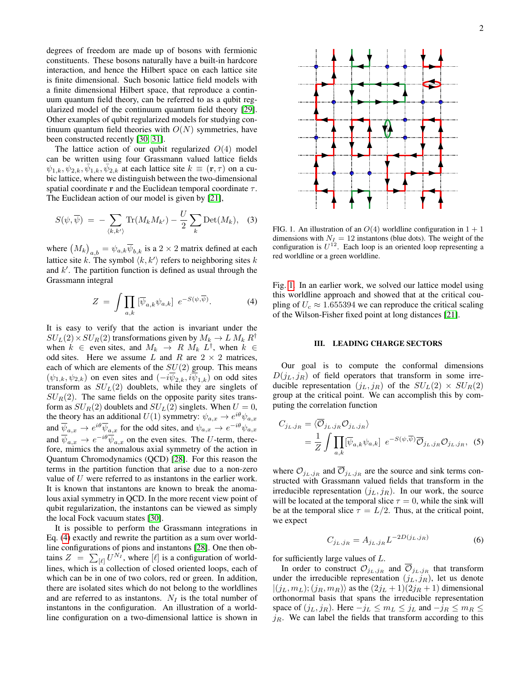degrees of freedom are made up of bosons with fermionic constituents. These bosons naturally have a built-in hardcore interaction, and hence the Hilbert space on each lattice site is finite dimensional. Such bosonic lattice field models with a finite dimensional Hilbert space, that reproduce a continuum quantum field theory, can be referred to as a qubit regularized model of the continuum quantum field theory [\[29\]](#page-5-19). Other examples of qubit regularized models for studying continuum quantum field theories with  $O(N)$  symmetries, have been constructed recently [\[30,](#page-5-20) [31\]](#page-5-21).

The lattice action of our qubit regularized  $O(4)$  model can be written using four Grassmann valued lattice fields  $\psi_{1,k}, \psi_{2,k}, \bar{\psi}_{1,k}, \bar{\psi}_{2,k}$  at each lattice site  $k \equiv (\mathbf{r}, \tau)$  on a cubic lattice, where we distinguish between the two-dimensional spatial coordinate r and the Euclidean temporal coordinate  $\tau$ . The Euclidean action of our model is given by [\[21\]](#page-5-11),

$$
S(\psi, \overline{\psi}) = -\sum_{\langle k, k' \rangle} \text{Tr}(M_k M_{k'}) - \frac{U}{2} \sum_k \text{Det}(M_k), \quad (3)
$$

where  $(M_k)_{a,b} = \psi_{a,k} \overline{\psi}_{b,k}$  is a  $2 \times 2$  matrix defined at each lattice site k. The symbol  $\langle k, k' \rangle$  refers to neighboring sites k and  $k'$ . The partition function is defined as usual through the Grassmann integral

$$
Z = \int \prod_{a,k} \left[ \overline{\psi}_{a,k} \psi_{a,k} \right] e^{-S(\psi,\overline{\psi})}.
$$
 (4)

It is easy to verify that the action is invariant under the  $SU_L(2) \times SU_R(2)$  transformations given by  $M_k \to L M_k R^{\dagger}$ when  $k \in \text{even sites, and } M_k \to R M_k L^{\dagger}$ , when  $k \in \text{even sites}$ odd sites. Here we assume L and R are  $2 \times 2$  matrices, each of which are elements of the  $SU(2)$  group. This means  $(\psi_{1,k}, \psi_{2,k})$  on even sites and  $(-i\overline{\psi}_{2,k}, i\overline{\psi}_{1,k})$  on odd sites transform as  $SU<sub>L</sub>(2)$  doublets, while they are singlets of  $SU_R(2)$ . The same fields on the opposite parity sites transform as  $SU_R(2)$  doublets and  $SU_L(2)$  singlets. When  $U = 0$ , the theory has an additional  $U(1)$  symmetry:  $\psi_{a,x} \to e^{i\theta} \psi_{a,x}$ and  $\overline{\psi}_{a,x} \to e^{i\theta} \overline{\psi}_{a,x}$  for the odd sites, and  $\psi_{a,x} \to e^{-i\theta} \psi_{a,x}$ and  $\overline{\psi}_{a,x} \to e^{-i\theta} \overline{\psi}_{a,x}$  on the even sites. The U-term, therefore, mimics the anomalous axial symmetry of the action in Quantum Chromodynamics (QCD) [\[28\]](#page-5-18). For this reason the terms in the partition function that arise due to a non-zero value of U were referred to as instantons in the earlier work. It is known that instantons are known to break the anomalous axial symmetry in QCD. In the more recent view point of qubit regularization, the instantons can be viewed as simply the local Fock vacuum states [\[30\]](#page-5-20).

It is possible to perform the Grassmann integrations in Eq. [\(4\)](#page-1-0) exactly and rewrite the partition as a sum over worldline configurations of pions and instantons [\[28\]](#page-5-18). One then obtains  $Z = \sum_{[\ell]} U^{N_I}$ , where  $[\ell]$  is a configuration of worldlines, which is a collection of closed oriented loops, each of which can be in one of two colors, red or green. In addition, there are isolated sites which do not belong to the worldlines and are referred to as instantons.  $N_I$  is the total number of instantons in the configuration. An illustration of a worldline configuration on a two-dimensional lattice is shown in



<span id="page-1-1"></span>FIG. 1. An illustration of an  $O(4)$  worldline configuration in  $1 + 1$ dimensions with  $N_I = 12$  instantons (blue dots). The weight of the configuration is  $U^{12}$ . Each loop is an oriented loop representing a red worldline or a green worldline.

<span id="page-1-0"></span>Fig. [1.](#page-1-1) In an earlier work, we solved our lattice model using this worldline approach and showed that at the critical coupling of  $U_c \approx 1.655394$  we can reproduce the critical scaling of the Wilson-Fisher fixed point at long distances [\[21\]](#page-5-11).

## III. LEADING CHARGE SECTORS

Our goal is to compute the conformal dimensions  $D(j_L, j_R)$  of field operators that transform in some irreducible representation  $(j_L, j_R)$  of the  $SU_L(2) \times SU_R(2)$ group at the critical point. We can accomplish this by computing the correlation function

$$
C_{j_L,j_R} = \langle \overline{\mathcal{O}}_{j_L,j_R} \mathcal{O}_{j_L,j_R} \rangle
$$
  
=  $\frac{1}{Z} \int \prod_{a,k} [\overline{\psi}_{a,k} \psi_{a,k}] e^{-S(\psi,\overline{\psi})} \overline{\mathcal{O}}_{j_L,j_R} \mathcal{O}_{j_L,j_R},$  (5)

where  $\mathcal{O}_{j_L,j_R}$  and  $\overline{\mathcal{O}}_{j_L,j_R}$  are the source and sink terms constructed with Grassmann valued fields that transform in the irreducible representation  $(j_L, j_R)$ . In our work, the source will be located at the temporal slice  $\tau = 0$ , while the sink will be at the temporal slice  $\tau = L/2$ . Thus, at the critical point, we expect

<span id="page-1-2"></span>
$$
C_{j_L,j_R} = A_{j_L,j_R} L^{-2D(j_L,j_R)}
$$
(6)

for sufficiently large values of L.

In order to construct  $\mathcal{O}_{j_L,j_R}$  and  $\mathcal{O}_{j_L,j_R}$  that transform under the irreducible representation  $(j_L, j_R)$ , let us denote  $|(j_L, m_L); (j_R, m_R)\rangle$  as the  $(2j_L + 1)(2j_R + 1)$  dimensional orthonormal basis that spans the irreducible representation space of  $(j_L, j_R)$ . Here  $-j_L \le m_L \le j_L$  and  $-j_R \le m_R \le$  $j_R$ . We can label the fields that transform according to this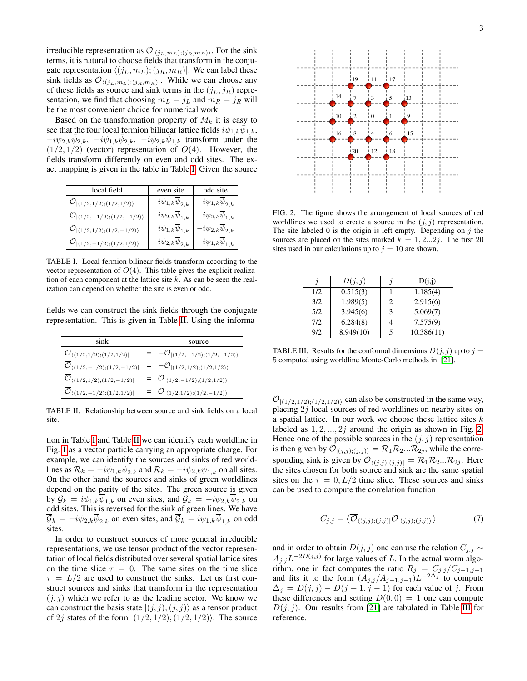irreducible representation as  $\mathcal{O}_{|(j_L, m_L);(j_R, m_R)\rangle}$ . For the sink terms, it is natural to choose fields that transform in the conjugate representation  $\langle (j_L, m_L); (j_R, m_R) \rangle$ . We can label these sink fields as  $\mathcal{O}_{\langle (j_L, m_L), (j_R, m_R) \rangle}$ . While we can choose any of these fields as source and sink terms in the  $(j_L, j_R)$  representation, we find that choosing  $m_L = j_L$  and  $m_R = j_R$  will be the most convenient choice for numerical work.

Based on the transformation property of  $M_k$  it is easy to see that the four local fermion bilinear lattice fields  $i\psi_{1,k}\phi_{1,k}$ ,  $-i\psi_{2,k}\bar{\psi}_{2,k}, -i\psi_{1,k}\bar{\psi}_{2,k}, -i\psi_{2,k}\bar{\psi}_{1,k}$  transform under the  $(1/2, 1/2)$  (vector) representation of  $O(4)$ . However, the fields transform differently on even and odd sites. The exact mapping is given in the table in Table [I.](#page-2-0) Given the source

| local field                                   | even site                           | odd site                            |
|-----------------------------------------------|-------------------------------------|-------------------------------------|
| $\mathcal{O}_{ (1/2,1/2);(1/2,1/2)}$          | $-i\psi_{1,k}\overline{\psi}_{2,k}$ | $-i\psi_{1,k}\psi_{2,k}$            |
| $\mathcal{O}_{ (1/2,-1/2);(1/2,-1/2)\rangle}$ | $i\psi_{2,k}\overline{\psi}_{1,k}$  | $i\psi_{2,k}\overline{\psi}_{1,k}$  |
| $\mathcal{O}_{ (1/2,1/2);(1/2,-1/2)\rangle}$  | $i\psi_{1,k}\overline{\psi}_{1,k}$  | $-i\psi_{2,k}\overline{\psi}_{2,k}$ |
| $\mathcal{O}_{ (1/2,-1/2);(1/2,1/2)}$         | $-i\psi_{2,k}\overline{\psi}_{2,k}$ | $i\psi_{1,k}\overline{\psi}_{1,k}$  |

<span id="page-2-0"></span>TABLE I. Local fermion bilinear fields transform according to the vector representation of  $O(4)$ . This table gives the explicit realization of each component at the lattice site  $k$ . As can be seen the realization can depend on whether the site is even or odd.

fields we can construct the sink fields through the conjugate representation. This is given in Table [II.](#page-2-1) Using the informa-

| sink                                                     |  | source                                    |  |  |
|----------------------------------------------------------|--|-------------------------------------------|--|--|
| $\mathcal{O}_{\langle (1/2,1/2);(1/2,1/2) }$             |  | $= -\mathcal{O}_{ (1/2,-1/2);(1/2,-1/2)}$ |  |  |
| $\mathcal{O}_{\langle (1/2,-1/2);(1/2,-1/2) }$           |  | $=$ $-\mathcal{O}_{ (1/2,1/2);(1/2,1/2)}$ |  |  |
| $\mathcal{O}_{\langle (1/2,1/2);(1/2,-1/2) }$            |  | = $\mathcal{O}_{ (1/2,-1/2);(1/2,1/2)}$   |  |  |
| $\overline{\mathcal{O}}_{\langle (1/2,-1/2);(1/2,1/2) }$ |  | $=$ $\mathcal{O}_{ (1/2,1/2);(1/2,-1/2)}$ |  |  |

<span id="page-2-1"></span>TABLE II. Relationship between source and sink fields on a local site.

tion in Table [I](#page-2-0) and Table [II](#page-2-1) we can identify each worldline in Fig. [1](#page-1-1) as a vector particle carrying an appropriate charge. For example, we can identify the sources and sinks of red worldlines as  $\mathcal{R}_k = -i\psi_{1,k}\overline{\psi}_{2,k}$  and  $\overline{\mathcal{R}}_k = -i\psi_{2,k}\overline{\psi}_{1,k}$  on all sites. On the other hand the sources and sinks of green worldlines depend on the parity of the sites. The green source is given by  $\mathcal{G}_k = i\psi_{1,k}\psi_{1,k}$  on even sites, and  $\mathcal{G}_k = -i\psi_{2,k}\psi_{2,k}$  on odd sites. This is reversed for the sink of green lines. We have  $\mathcal{G}_k = -i\psi_{2,k}\psi_{2,k}$  on even sites, and  $\overline{\mathcal{G}}_k = i\psi_{1,k}\overline{\psi}_{1,k}$  on odd sites.

In order to construct sources of more general irreducible representations, we use tensor product of the vector representation of local fields distributed over several spatial lattice sites on the time slice  $\tau = 0$ . The same sites on the time slice  $\tau = L/2$  are used to construct the sinks. Let us first construct sources and sinks that transform in the representation  $(j, j)$  which we refer to as the leading sector. We know we can construct the basis state  $|(j, j); (j, j)\rangle$  as a tensor product of 2*j* states of the form  $|(1/2, 1/2); (1/2, 1/2)\rangle$ . The source



<span id="page-2-2"></span>FIG. 2. The figure shows the arrangement of local sources of red worldlines we used to create a source in the  $(j, j)$  representation. The site labeled 0 is the origin is left empty. Depending on  $j$  the sources are placed on the sites marked  $k = 1, 2...2j$ . The first 20 sites used in our calculations up to  $j = 10$  are shown.

|     | D(j, j)   | Э | D(j,j)     |
|-----|-----------|---|------------|
| 1/2 | 0.515(3)  |   | 1.185(4)   |
| 3/2 | 1.989(5)  | 2 | 2.915(6)   |
| 5/2 | 3.945(6)  | 3 | 5.069(7)   |
| 7/2 | 6.284(8)  | 4 | 7.575(9)   |
| 9/2 | 8.949(10) | 5 | 10.386(11) |

<span id="page-2-3"></span>TABLE III. Results for the conformal dimensions  $D(j, j)$  up to  $j =$ 5 computed using worldline Monte-Carlo methods in [\[21\]](#page-5-11).

 $\mathcal{O}_{(1/2,1/2),(1/2,1/2)}$  can also be constructed in the same way, placing 2j local sources of red worldlines on nearby sites on a spatial lattice. In our work we choose these lattice sites  $k$ labeled as  $1, 2, ..., 2j$  around the origin as shown in Fig. [2.](#page-2-2) Hence one of the possible sources in the  $(j, j)$  representation is then given by  $\mathcal{O}_{|(j,j);(j,j))} = \mathcal{R}_1 \mathcal{R}_2 ... \mathcal{R}_{2j}$ , while the corresponding sink is given by  $\overline{\mathcal{O}}_{((j,j);(j,j))} = \overline{\mathcal{R}}_1 \overline{\mathcal{R}}_2 ... \overline{\mathcal{R}}_{2j}$ . Here the sites chosen for both source and sink are the same spatial sites on the  $\tau = 0, L/2$  time slice. These sources and sinks can be used to compute the correlation function

$$
C_{j,j} = \langle \overline{\mathcal{O}}_{\langle (j,j);(j,j)|} \mathcal{O}_{|(j,j);(j,j)\rangle} \rangle \tag{7}
$$

and in order to obtain  $D(j, j)$  one can use the relation  $C_{j,j} \sim$  $A_{j,j}L^{-2D(j,j)}$  for large values of L. In the actual worm algorithm, one in fact computes the ratio  $R_j = C_{j,j}/C_{j-1,j-1}$ and fits it to the form  $(A_{j,j}/A_{j-1,j-1})L^{-2\Delta_j}$  to compute  $\Delta_j = D(j, j) - D(j - 1, j - 1)$  for each value of j. From these differences and setting  $D(0, 0) = 1$  one can compute  $D(i, i)$ . Our results from [\[21\]](#page-5-11) are tabulated in Table [III](#page-2-3) for reference.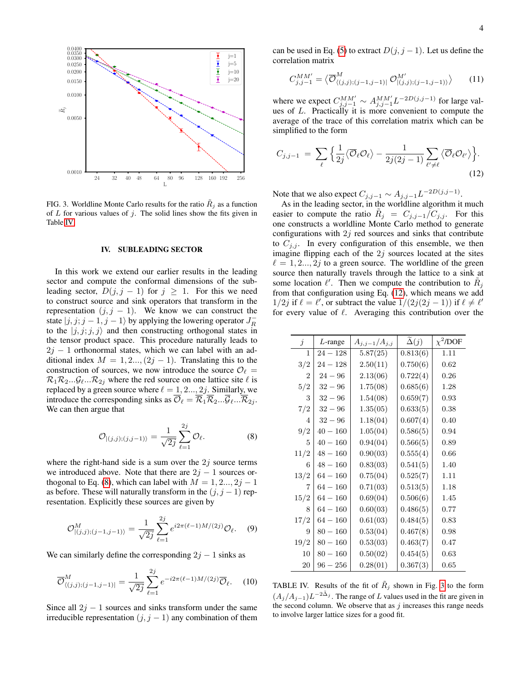

<span id="page-3-3"></span>FIG. 3. Worldline Monte Carlo results for the ratio  $R_i$  as a function of  $L$  for various values of  $j$ . The solid lines show the fits given in Table [IV.](#page-3-0)

### IV. SUBLEADING SECTOR

In this work we extend our earlier results in the leading sector and compute the conformal dimensions of the subleading sector,  $D(j, j - 1)$  for  $j \ge 1$ . For this we need to construct source and sink operators that transform in the representation  $(j, j - 1)$ . We know we can construct the state  $|j, j; j-1, j-1\rangle$  by applying the lowering operator  $J_R^$ to the  $|j, j; j, j\rangle$  and then constructing orthogonal states in the tensor product space. This procedure naturally leads to  $2j - 1$  orthonormal states, which we can label with an additional index  $M = 1, 2, ..., (2j - 1)$ . Translating this to the construction of sources, we now introduce the source  $\mathcal{O}_\ell =$  $\mathcal{R}_1 \mathcal{R}_2 \dots \mathcal{G}_\ell \dots \mathcal{R}_{2j}$  where the red source on one lattice site  $\ell$  is replaced by a green source where  $\ell = 1, 2..., 2j$ . Similarly, we introduce the corresponding sinks as  $\overline{\mathcal{O}}_{\ell} = \overline{\mathcal{R}}_1 \overline{\mathcal{R}}_2 ... \overline{\mathcal{G}}_{\ell} ... \overline{\mathcal{R}}_{2j}$ . We can then argue that

$$
\mathcal{O}_{|(j,j);(j,j-1)\rangle} = \frac{1}{\sqrt{2j}} \sum_{\ell=1}^{2j} \mathcal{O}_{\ell}.
$$
 (8)

where the right-hand side is a sum over the  $2j$  source terms we introduced above. Note that there are  $2j - 1$  sources or-thogonal to Eq. [\(8\)](#page-3-1), which can label with  $M = 1, 2..., 2j - 1$ as before. These will naturally transform in the  $(j, j - 1)$  representation. Explicitly these sources are given by

$$
\mathcal{O}_{|(j,j);(j-1,j-1)\rangle}^{M} = \frac{1}{\sqrt{2j}} \sum_{\ell=1}^{2j} e^{i2\pi(\ell-1)M/(2j)} \mathcal{O}_{\ell}.
$$
 (9)

We can similarly define the corresponding  $2j - 1$  sinks as

$$
\overline{\mathcal{O}}_{\langle(j,j);(j-1,j-1)|}^{M} = \frac{1}{\sqrt{2j}} \sum_{\ell=1}^{2j} e^{-i2\pi(\ell-1)M/(2j)} \overline{\mathcal{O}}_{\ell}.
$$
 (10)

Since all  $2j - 1$  sources and sinks transform under the same irreducible representation  $(j, j - 1)$  any combination of them can be used in Eq. [\(5\)](#page-1-2) to extract  $D(j, j - 1)$ . Let us define the correlation matrix

$$
C_{j,j-1}^{MM'} = \langle \overline{\mathcal{O}}_{\langle (j,j);(j-1,j-1)|}^{M} \mathcal{O}_{|(j,j);(j-1,j-1)\rangle}^{M'} \rangle \qquad (11)
$$

where we expect  $C_{j,j-1}^{MM'} \sim A_{j,j-1}^{MM'} L^{-2D(j,j-1)}$  for large values of  $L$ . Practically it is more convenient to compute the average of the trace of this correlation matrix which can be simplified to the form

<span id="page-3-2"></span>
$$
C_{j,j-1} = \sum_{\ell} \Big\{ \frac{1}{2j} \langle \overline{\mathcal{O}}_{\ell} \mathcal{O}_{\ell} \rangle - \frac{1}{2j(2j-1)} \sum_{\ell' \neq \ell} \langle \overline{\mathcal{O}}_{\ell} \mathcal{O}_{\ell'} \rangle \Big\}.
$$
\n(12)

Note that we also expect  $C_{j,j-1} \sim A_{j,j-1} L^{-2D(j,j-1)}$ .

As in the leading sector, in the worldline algorithm it much easier to compute the ratio  $\tilde{R}_j = C_{j,j-1}/C_{j,j}$ . For this one constructs a worldline Monte Carlo method to generate configurations with  $2j$  red sources and sinks that contribute to  $C_{j,j}$ . In every configuration of this ensemble, we then imagine flipping each of the  $2j$  sources located at the sites  $\ell = 1, 2..., 2j$  to a green source. The worldline of the green source then naturally travels through the lattice to a sink at some location  $\ell'$ . Then we compute the contribution to  $\tilde{R}_j$ from that configuration using Eq. [\(12\)](#page-3-2), which means we add 1/2*j* if  $\ell = \ell'$ , or subtract the value  $1/(2j(2j - 1))$  if  $\ell \neq \ell'$ for every value of  $\ell$ . Averaging this contribution over the

<span id="page-3-1"></span>

| $\dot{\jmath}$ | $L$ -range | $A_{j,j-1}/A_{j,j}$ | $\tilde{\Delta}(j)$ | $\chi^2$ /DOF |
|----------------|------------|---------------------|---------------------|---------------|
| 1              | $24 - 128$ | 5.87(25)            | 0.813(6)            | 1.11          |
| 3/2            | $24 - 128$ | 2.50(11)            | 0.750(6)            | 0.62          |
| $\overline{2}$ | $24 - 96$  | 2.13(06)            | 0.722(4)            | 0.26          |
| 5/2            | $32 - 96$  | 1.75(08)            | 0.685(6)            | 1.28          |
| 3              | $32 - 96$  | 1.54(08)            | 0.659(7)            | 0.93          |
| 7/2            | $32 - 96$  | 1.35(05)            | 0.633(5)            | 0.38          |
| 4              | $32 - 96$  | 1.18(04)            | 0.607(4)            | 0.40          |
| 9/2            | $40 - 160$ | 1.05(04)            | 0.586(5)            | 0.94          |
| 5              | $40 - 160$ | 0.94(04)            | 0.566(5)            | 0.89          |
| 11/2           | $48 - 160$ | 0.90(03)            | 0.555(4)            | 0.66          |
| 6              | $48 - 160$ | 0.83(03)            | 0.541(5)            | 1.40          |
| 13/2           | $64 - 160$ | 0.75(04)            | 0.525(7)            | 1.11          |
| 7              | $64 - 160$ | 0.71(03)            | 0.513(5)            | 1.18          |
| 15/2           | $64 - 160$ | 0.69(04)            | 0.506(6)            | 1.45          |
| 8              | $64 - 160$ | 0.60(03)            | 0.486(5)            | 0.77          |
| 17/2           | $64 - 160$ | 0.61(03)            | 0.484(5)            | 0.83          |
| 9              | $80 - 160$ | 0.53(04)            | 0.467(8)            | 0.98          |
| 19/2           | $80 - 160$ | 0.53(03)            | 0.463(7)            | 0.47          |
| 10             | $80 - 160$ | 0.50(02)            | 0.454(5)            | 0.63          |
| 20             | $96 - 256$ | 0.28(01)            | 0.367(3)            | 0.65          |

<span id="page-3-0"></span>TABLE IV. Results of the fit of  $R_j$  shown in Fig. [3](#page-3-3) to the form  $(A_j/A_{j-1})L^{-2\tilde{\Delta}_j}$ . The range of L values used in the fit are given in the second column. We observe that as  $j$  increases this range needs to involve larger lattice sizes for a good fit.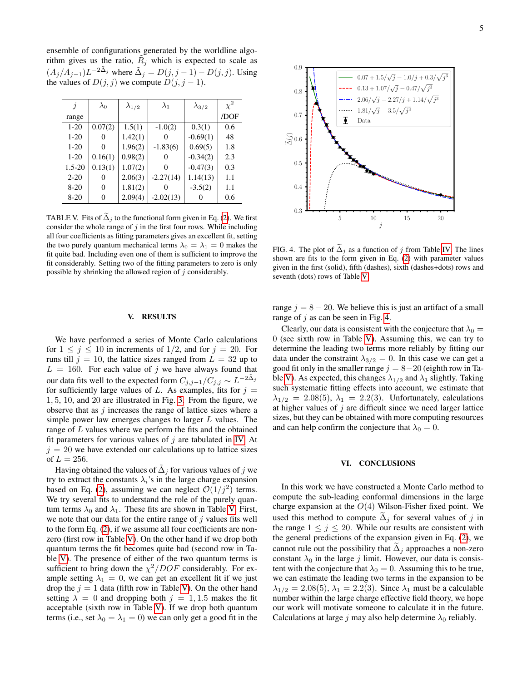ensemble of configurations generated by the worldline algorithm gives us the ratio,  $\tilde{R}_j$  which is expected to scale as  $(A_j/A_{j-1})L^{-2\tilde{\Delta}_j}$  where  $\tilde{\Delta}_j = D(j, j-1) - D(j, j)$ . Using the values of  $D(j, j)$  we compute  $D(j, j - 1)$ .

| j          | $\lambda_0$ | $\lambda_{1/2}$ | $\lambda_1$ | $\lambda_{3/2}$ | $\chi^2$ |
|------------|-------------|-----------------|-------------|-----------------|----------|
| range      |             |                 |             |                 | /DOF     |
| $1-20$     | 0.07(2)     | 1.5(1)          | $-1.0(2)$   | 0.3(1)          | 0.6      |
| $1-20$     | 0           | 1.42(1)         |             | $-0.69(1)$      | 48       |
| $1-20$     | $\Omega$    | 1.96(2)         | $-1.83(6)$  | 0.69(5)         | 1.8      |
| $1-20$     | 0.16(1)     | 0.98(2)         | 0           | $-0.34(2)$      | 2.3      |
| $1.5 - 20$ | 0.13(1)     | 1.07(2)         | 0           | $-0.47(3)$      | 0.3      |
| $2 - 20$   | 0           | 2.06(3)         | $-2.27(14)$ | 1.14(13)        | 1.1      |
| $8-20$     | 0           | 1.81(2)         |             | $-3.5(2)$       | 1.1      |
| $8-20$     | 0           | 2.09(4)         | $-2.02(13)$ |                 | 0.6      |

<span id="page-4-0"></span>TABLE V. Fits of  $\tilde{\Delta}_i$  to the functional form given in Eq. [\(2\)](#page-0-0). We first consider the whole range of  $j$  in the first four rows. While including all four coefficients as fitting parameters gives an excellent fit, setting the two purely quantum mechanical terms  $\lambda_0 = \lambda_1 = 0$  makes the fit quite bad. Including even one of them is sufficient to improve the fit considerably. Setting two of the fitting parameters to zero is only possible by shrinking the allowed region of  $j$  considerably.

#### V. RESULTS

We have performed a series of Monte Carlo calculations for  $1 \leq j \leq 10$  in increments of  $1/2$ , and for  $j = 20$ . For runs till  $j = 10$ , the lattice sizes ranged from  $L = 32$  up to  $L = 160$ . For each value of j we have always found that our data fits well to the expected form  $C_{j,j-1}/C_{j,j} \sim L^{-2\tilde{\Delta}_j}$ for sufficiently large values of L. As examples, fits for  $j =$ 1, 5, 10, and 20 are illustrated in Fig. [3.](#page-3-3) From the figure, we observe that as  $j$  increases the range of lattice sizes where a simple power law emerges changes to larger L values. The range of L values where we perform the fits and the obtained fit parameters for various values of  $j$  are tabulated in [IV.](#page-3-0) At  $j = 20$  we have extended our calculations up to lattice sizes of  $L = 256$ .

Having obtained the values of  $\tilde{\Delta}_j$  for various values of  $j$  we try to extract the constants  $\lambda_i$ 's in the large charge expansion based on Eq. [\(2\)](#page-0-0), assuming we can neglect  $\mathcal{O}(1/j^2)$  terms. We try several fits to understand the role of the purely quantum terms  $\lambda_0$  and  $\lambda_1$ . These fits are shown in Table [V.](#page-4-0) First, we note that our data for the entire range of  $j$  values fits well to the form Eq. [\(2\)](#page-0-0), if we assume all four coefficients are nonzero (first row in Table [V\)](#page-4-0). On the other hand if we drop both quantum terms the fit becomes quite bad (second row in Table [V\)](#page-4-0). The presence of either of the two quantum terms is sufficient to bring down the  $\chi^2/DOF$  considerably. For example setting  $\lambda_1 = 0$ , we can get an excellent fit if we just drop the  $j = 1$  data (fifth row in Table [V\)](#page-4-0). On the other hand setting  $\lambda = 0$  and dropping both  $j = 1, 1.5$  makes the fit acceptable (sixth row in Table [V\)](#page-4-0). If we drop both quantum terms (i.e., set  $\lambda_0 = \lambda_1 = 0$ ) we can only get a good fit in the



<span id="page-4-1"></span>FIG. 4. The plot of  $\tilde{\Delta}_j$  as a function of j from Table [IV.](#page-3-0) The lines shown are fits to the form given in Eq. [\(2\)](#page-0-0) with parameter values given in the first (solid), fifth (dashes), sixth (dashes+dots) rows and seventh (dots) rows of Table [V.](#page-4-0)

range  $j = 8 - 20$ . We believe this is just an artifact of a small range of  $j$  as can be seen in Fig. [4.](#page-4-1)

Clearly, our data is consistent with the conjecture that  $\lambda_0 =$ 0 (see sixth row in Table [V\)](#page-4-0). Assuming this, we can try to determine the leading two terms more reliably by fitting our data under the constraint  $\lambda_{3/2} = 0$ . In this case we can get a good fit only in the smaller range  $j = 8-20$  (eighth row in Ta-ble [V\)](#page-4-0). As expected, this changes  $\lambda_{1/2}$  and  $\lambda_1$  slightly. Taking such systematic fitting effects into account, we estimate that  $\lambda_{1/2} = 2.08(5)$ ,  $\lambda_1 = 2.2(3)$ . Unfortunately, calculations at higher values of  $j$  are difficult since we need larger lattice sizes, but they can be obtained with more computing resources and can help confirm the conjecture that  $\lambda_0 = 0$ .

# VI. CONCLUSIONS

In this work we have constructed a Monte Carlo method to compute the sub-leading conformal dimensions in the large charge expansion at the  $O(4)$  Wilson-Fisher fixed point. We used this method to compute  $\Delta_i$  for several values of j in the range  $1 \leq j \leq 20$ . While our results are consistent with the general predictions of the expansion given in Eq. [\(2\)](#page-0-0), we cannot rule out the possibility that  $\Delta_i$  approaches a non-zero constant  $\lambda_0$  in the large j limit. However, our data is consistent with the conjecture that  $\lambda_0 = 0$ . Assuming this to be true, we can estimate the leading two terms in the expansion to be  $\lambda_{1/2} = 2.08(5)$ ,  $\lambda_1 = 2.2(3)$ . Since  $\lambda_1$  must be a calculable number within the large charge effective field theory, we hope our work will motivate someone to calculate it in the future. Calculations at large j may also help determine  $\lambda_0$  reliably.